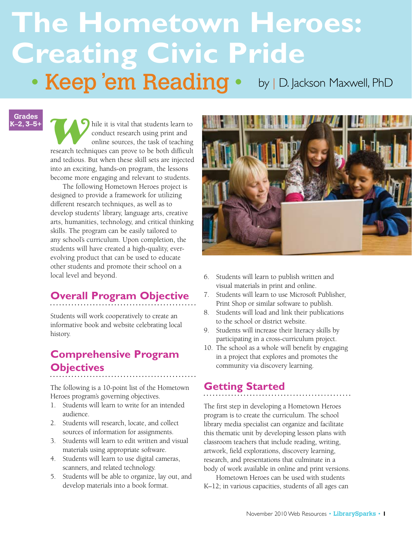# **The Hometown Heroes: Creating Civic Pride** • Keep 'em Reading • by | D. Jackson Maxwell, PhD

**Grades K–2, 3–5+**

hile it is vital that students learn to conduct research using print and online sources, the task of teaching research techniques can prove to be both difficult and tedious. But when these skill sets are injected into an e conduct research using print and online sources, the task of teaching research techniques can prove to be both difficult and tedious. But when these skill sets are injected into an exciting, hands-on program, the lessons become more engaging and relevant to students.

The following Hometown Heroes project is designed to provide a framework for utilizing different research techniques, as well as to develop students' library, language arts, creative arts, humanities, technology, and critical thinking skills. The program can be easily tailored to any school's curriculum. Upon completion, the students will have created a high-quality, everevolving product that can be used to educate other students and promote their school on a local level and beyond.

# **Overall Program Objective**

Students will work cooperatively to create an informative book and website celebrating local history.

# **Comprehensive Program Objectives**

The following is a 10-point list of the Hometown Heroes program's governing objectives.

- 1. Students will learn to write for an intended audience.
- 2. Students will research, locate, and collect sources of information for assignments.
- 3. Students will learn to edit written and visual materials using appropriate software.
- 4. Students will learn to use digital cameras, scanners, and related technology.
- 5. Students will be able to organize, lay out, and develop materials into a book format.



- 6. Students will learn to publish written and visual materials in print and online.
- 7. Students will learn to use Microsoft Publisher, Print Shop or similar software to publish.
- 8. Students will load and link their publications to the school or district website.
- 9. Students will increase their literacy skills by participating in a cross-curriculum project.
- 10. The school as a whole will benefit by engaging in a project that explores and promotes the community via discovery learning.

### **Getting Started**

The first step in developing a Hometown Heroes program is to create the curriculum. The school library media specialist can organize and facilitate this thematic unit by developing lesson plans with classroom teachers that include reading, writing, artwork, field explorations, discovery learning, research, and presentations that culminate in a body of work available in online and print versions.

Hometown Heroes can be used with students K–12; in various capacities, students of all ages can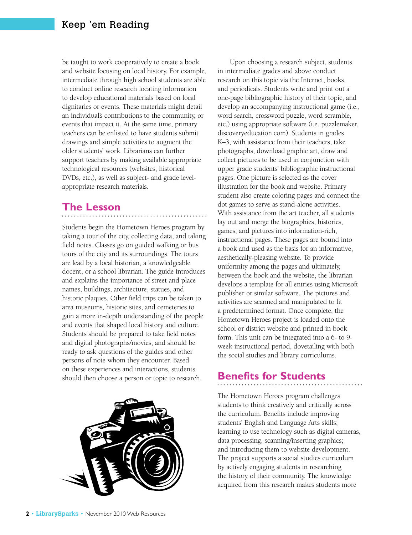be taught to work cooperatively to create a book and website focusing on local history. For example, intermediate through high school students are able to conduct online research locating information to develop educational materials based on local dignitaries or events. These materials might detail an individual's contributions to the community, or events that impact it. At the same time, primary teachers can be enlisted to have students submit drawings and simple activities to augment the older students' work. Librarians can further support teachers by making available appropriate technological resources (websites, historical DVDs, etc.), as well as subject- and grade levelappropriate research materials.

#### **The Lesson**

Students begin the Hometown Heroes program by taking a tour of the city, collecting data, and taking field notes. Classes go on guided walking or bus tours of the city and its surroundings. The tours are lead by a local historian, a knowledgeable docent, or a school librarian. The guide introduces and explains the importance of street and place names, buildings, architecture, statues, and historic plaques. Other field trips can be taken to area museums, historic sites, and cemeteries to gain a more in-depth understanding of the people and events that shaped local history and culture. Students should be prepared to take field notes and digital photographs/movies, and should be ready to ask questions of the guides and other persons of note whom they encounter. Based on these experiences and interactions, students should then choose a person or topic to research.



Upon choosing a research subject, students in intermediate grades and above conduct research on this topic via the Internet, books, and periodicals. Students write and print out a one-page bibliographic history of their topic, and develop an accompanying instructional game (i.e., word search, crossword puzzle, word scramble, etc.) using appropriate software (i.e. puzzlemaker. discoveryeducation.com). Students in grades K–3, with assistance from their teachers, take photographs, download graphic art, draw and collect pictures to be used in conjunction with upper grade students' bibliographic instructional pages. One picture is selected as the cover illustration for the book and website. Primary student also create coloring pages and connect the dot games to serve as stand-alone activities. With assistance from the art teacher, all students lay out and merge the biographies, histories, games, and pictures into information-rich, instructional pages. These pages are bound into a book and used as the basis for an informative, aesthetically-pleasing website. To provide uniformity among the pages and ultimately, between the book and the website, the librarian develops a template for all entries using Microsoft publisher or similar software. The pictures and activities are scanned and manipulated to fit a predetermined format. Once complete, the Hometown Heroes project is loaded onto the school or district website and printed in book form. This unit can be integrated into a 6- to 9 week instructional period, dovetailing with both the social studies and library curriculums.

#### **Benefits for Students**

The Hometown Heroes program challenges students to think creatively and critically across the curriculum. Benefits include improving students' English and Language Arts skills; learning to use technology such as digital cameras, data processing, scanning/inserting graphics; and introducing them to website development. The project supports a social studies curriculum by actively engaging students in researching the history of their community. The knowledge acquired from this research makes students more